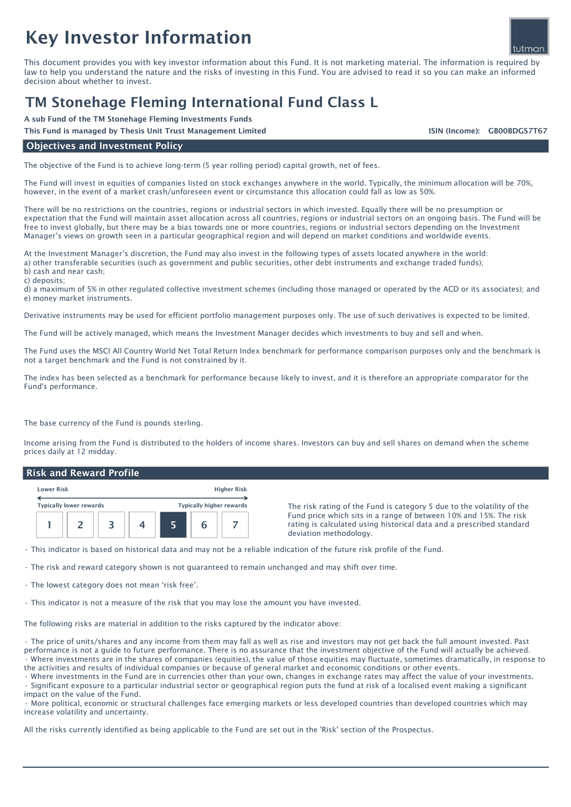# Key Investor Information

This document provides you with key investor information about this Fund. It is not marketing material. The information is required by law to help you understand the nature and the risks of investing in this Fund. You are advised to read it so you can make an informed decision about whether to invest.

# TM Stonehage Fleming International Fund Class L

A sub Fund of the TM Stonehage Fleming Investments Funds

This Fund is managed by Thesis Unit Trust Management Limited

ISIN (Income): GB00BDGS7T67

### Objectives and Investment Policy

The objective of the Fund is to achieve long-term (5 year rolling period) capital growth, net of fees.

The Fund will invest in equities of companies listed on stock exchanges anywhere in the world. Typically, the minimum allocation will be 70%, however, in the event of a market crash/unforeseen event or circumstance this allocation could fall as low as 50%.

There will be no restrictions on the countries, regions or industrial sectors in which invested. Equally there will be no presumption or expectation that the Fund will maintain asset allocation across all countries, regions or industrial sectors on an ongoing basis. The Fund will be free to invest globally, but there may be a bias towards one or more countries, regions or industrial sectors depending on the Investment Manager's views on growth seen in a particular geographical region and will depend on market conditions and worldwide events.

At the Investment Manager's discretion, the Fund may also invest in the following types of assets located anywhere in the world: a) other transferable securities (such as government and public securities, other debt instruments and exchange traded funds); b) cash and near cash;

c) deposits;

d) a maximum of 5% in other regulated collective investment schemes (including those managed or operated by the ACD or its associates); and e) money market instruments.

Derivative instruments may be used for efficient portfolio management purposes only. The use of such derivatives is expected to be limited.

The Fund will be actively managed, which means the Investment Manager decides which investments to buy and sell and when.

The Fund uses the MSCI All Country World Net Total Return Index benchmark for performance comparison purposes only and the benchmark is not a target benchmark and the Fund is not constrained by it.

The index has been selected as a benchmark for performance because likely to invest, and it is therefore an appropriate comparator for the Fund's performance.

The base currency of the Fund is pounds sterling.

Income arising from the Fund is distributed to the holders of income shares. Investors can buy and sell shares on demand when the scheme prices daily at 12 midday.

#### Risk and Reward Profile

| <b>Lower Risk</b>              |  |  | <b>Higher Risk</b> |                                 |  |  |
|--------------------------------|--|--|--------------------|---------------------------------|--|--|
| <b>Typically lower rewards</b> |  |  |                    | <b>Typically higher rewards</b> |  |  |
|                                |  |  |                    |                                 |  |  |

The risk rating of the Fund is category 5 due to the volatility of the Fund price which sits in a range of between 10% and 15%. The risk rating is calculated using historical data and a prescribed standard deviation methodology.

• This indicator is based on historical data and may not be a reliable indication of the future risk profile of the Fund.

• The risk and reward category shown is not guaranteed to remain unchanged and may shift over time.

• The lowest category does not mean 'risk free'.

• This indicator is not a measure of the risk that you may lose the amount you have invested.

The following risks are material in addition to the risks captured by the indicator above:

• The price of units/shares and any income from them may fall as well as rise and investors may not get back the full amount invested. Past performance is not a guide to future performance. There is no assurance that the investment objective of the Fund will actually be achieved. • Where investments are in the shares of companies (equities), the value of those equities may fluctuate, sometimes dramatically, in response to the activities and results of individual companies or because of general market and economic conditions or other events.

• Where investments in the Fund are in currencies other than your own, changes in exchange rates may affect the value of your investments.

• Significant exposure to a particular industrial sector or geographical region puts the fund at risk of a localised event making a significant impact on the value of the Fund.

• More political, economic or structural challenges face emerging markets or less developed countries than developed countries which may increase volatility and uncertainty.

All the risks currently identified as being applicable to the Fund are set out in the 'Risk' section of the Prospectus.